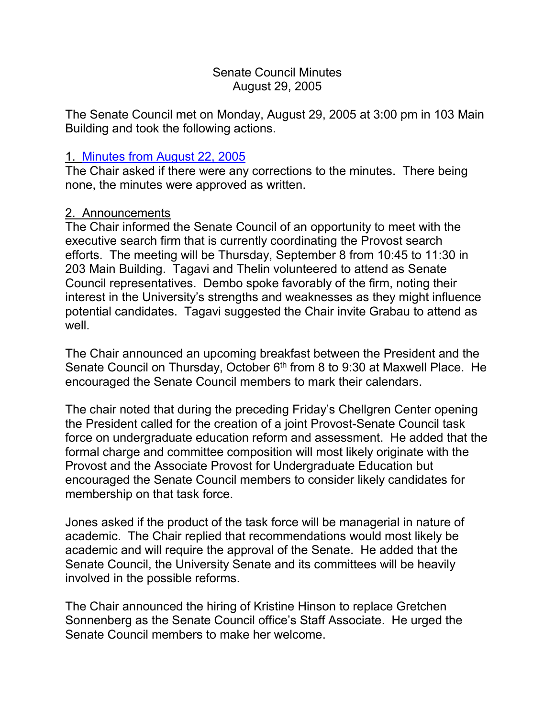#### Senate Council Minutes August 29, 2005

The Senate Council met on Monday, August 29, 2005 at 3:00 pm in 103 Main Building and took the following actions.

### 1. Minutes from [August 22, 2005](http://www.uky.edu/USC/New/SCMinutes/2005-2006/SC%20Minutes%20August%2022%202005%20TOSC.htm)

The Chair asked if there were any corrections to the minutes. There being none, the minutes were approved as written.

### 2. Announcements

The Chair informed the Senate Council of an opportunity to meet with the executive search firm that is currently coordinating the Provost search efforts. The meeting will be Thursday, September 8 from 10:45 to 11:30 in 203 Main Building. Tagavi and Thelin volunteered to attend as Senate Council representatives. Dembo spoke favorably of the firm, noting their interest in the University's strengths and weaknesses as they might influence potential candidates. Tagavi suggested the Chair invite Grabau to attend as well.

The Chair announced an upcoming breakfast between the President and the Senate Council on Thursday, October 6<sup>th</sup> from 8 to 9:30 at Maxwell Place. He encouraged the Senate Council members to mark their calendars.

The chair noted that during the preceding Friday's Chellgren Center opening the President called for the creation of a joint Provost-Senate Council task force on undergraduate education reform and assessment. He added that the formal charge and committee composition will most likely originate with the Provost and the Associate Provost for Undergraduate Education but encouraged the Senate Council members to consider likely candidates for membership on that task force.

Jones asked if the product of the task force will be managerial in nature of academic. The Chair replied that recommendations would most likely be academic and will require the approval of the Senate. He added that the Senate Council, the University Senate and its committees will be heavily involved in the possible reforms.

The Chair announced the hiring of Kristine Hinson to replace Gretchen Sonnenberg as the Senate Council office's Staff Associate. He urged the Senate Council members to make her welcome.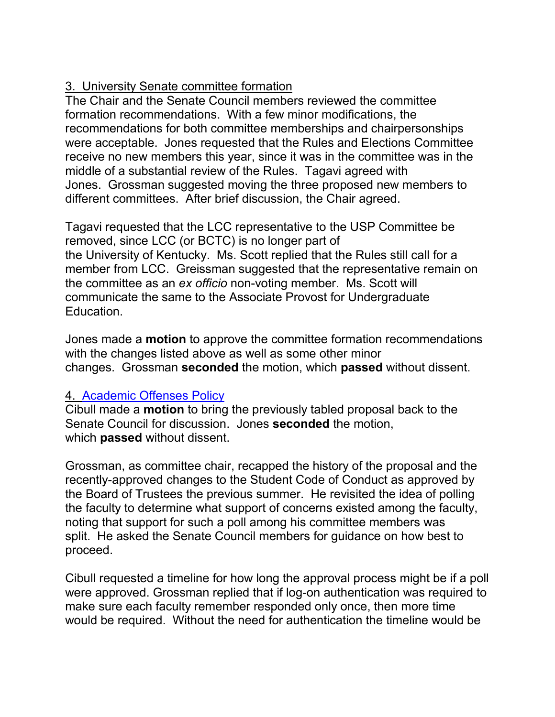# 3. University Senate committee formation

The Chair and the Senate Council members reviewed the committee formation recommendations. With a few minor modifications, the recommendations for both committee memberships and chairpersonships were acceptable. Jones requested that the Rules and Elections Committee receive no new members this year, since it was in the committee was in the middle of a substantial review of the Rules. Tagavi agreed with Jones. Grossman suggested moving the three proposed new members to different committees. After brief discussion, the Chair agreed.

Tagavi requested that the LCC representative to the USP Committee be removed, since LCC (or BCTC) is no longer part of the University of Kentucky. Ms. Scott replied that the Rules still call for a member from LCC. Greissman suggested that the representative remain on the committee as an *ex officio* non-voting member. Ms. Scott will communicate the same to the Associate Provost for Undergraduate Education.

Jones made a **motion** to approve the committee formation recommendations with the changes listed above as well as some other minor changes. Grossman **seconded** the motion, which **passed** without dissent.

## 4. [Academic Offenses Policy](http://www.chem.uky.edu/research/grossman/prop_acad_offenses.pdf)

Cibull made a **motion** to bring the previously tabled proposal back to the Senate Council for discussion. Jones **seconded** the motion, which **passed** without dissent.

Grossman, as committee chair, recapped the history of the proposal and the recently-approved changes to the Student Code of Conduct as approved by the Board of Trustees the previous summer. He revisited the idea of polling the faculty to determine what support of concerns existed among the faculty, noting that support for such a poll among his committee members was split. He asked the Senate Council members for guidance on how best to proceed.

Cibull requested a timeline for how long the approval process might be if a poll were approved. Grossman replied that if log-on authentication was required to make sure each faculty remember responded only once, then more time would be required. Without the need for authentication the timeline would be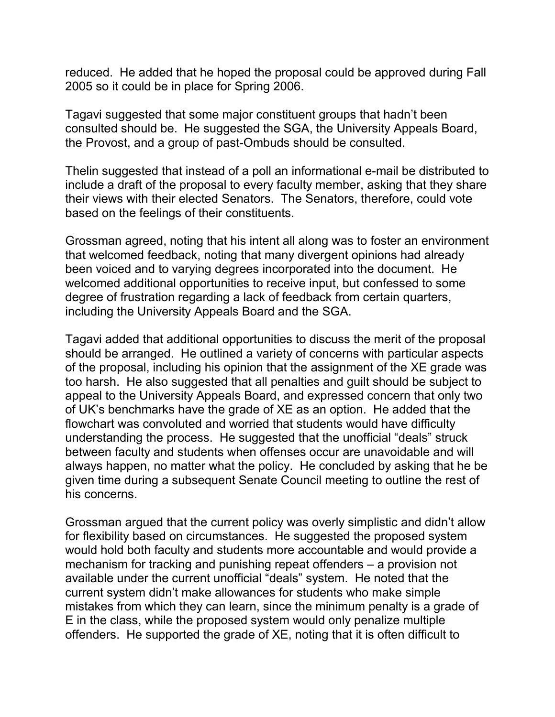reduced. He added that he hoped the proposal could be approved during Fall 2005 so it could be in place for Spring 2006.

Tagavi suggested that some major constituent groups that hadn't been consulted should be. He suggested the SGA, the University Appeals Board, the Provost, and a group of past-Ombuds should be consulted.

Thelin suggested that instead of a poll an informational e-mail be distributed to include a draft of the proposal to every faculty member, asking that they share their views with their elected Senators. The Senators, therefore, could vote based on the feelings of their constituents.

Grossman agreed, noting that his intent all along was to foster an environment that welcomed feedback, noting that many divergent opinions had already been voiced and to varying degrees incorporated into the document. He welcomed additional opportunities to receive input, but confessed to some degree of frustration regarding a lack of feedback from certain quarters, including the University Appeals Board and the SGA.

Tagavi added that additional opportunities to discuss the merit of the proposal should be arranged. He outlined a variety of concerns with particular aspects of the proposal, including his opinion that the assignment of the XE grade was too harsh. He also suggested that all penalties and guilt should be subject to appeal to the University Appeals Board, and expressed concern that only two of UK's benchmarks have the grade of XE as an option. He added that the flowchart was convoluted and worried that students would have difficulty understanding the process. He suggested that the unofficial "deals" struck between faculty and students when offenses occur are unavoidable and will always happen, no matter what the policy. He concluded by asking that he be given time during a subsequent Senate Council meeting to outline the rest of his concerns.

Grossman argued that the current policy was overly simplistic and didn't allow for flexibility based on circumstances. He suggested the proposed system would hold both faculty and students more accountable and would provide a mechanism for tracking and punishing repeat offenders – a provision not available under the current unofficial "deals" system. He noted that the current system didn't make allowances for students who make simple mistakes from which they can learn, since the minimum penalty is a grade of E in the class, while the proposed system would only penalize multiple offenders. He supported the grade of XE, noting that it is often difficult to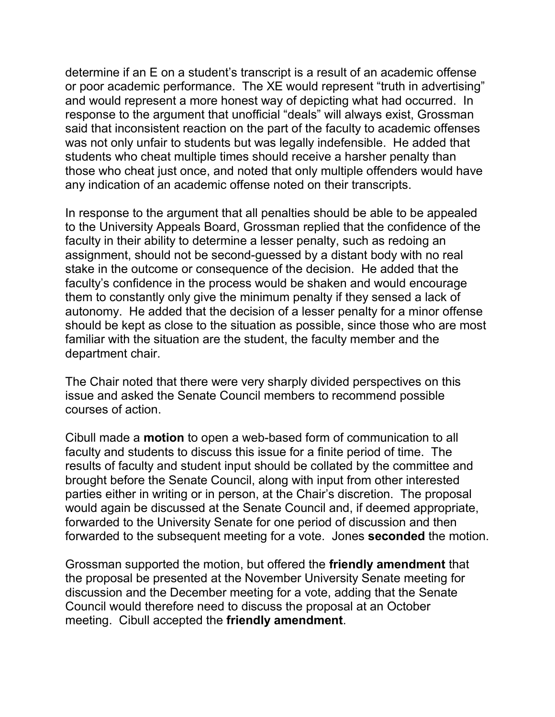determine if an E on a student's transcript is a result of an academic offense or poor academic performance. The XE would represent "truth in advertising" and would represent a more honest way of depicting what had occurred. In response to the argument that unofficial "deals" will always exist, Grossman said that inconsistent reaction on the part of the faculty to academic offenses was not only unfair to students but was legally indefensible. He added that students who cheat multiple times should receive a harsher penalty than those who cheat just once, and noted that only multiple offenders would have any indication of an academic offense noted on their transcripts.

In response to the argument that all penalties should be able to be appealed to the University Appeals Board, Grossman replied that the confidence of the faculty in their ability to determine a lesser penalty, such as redoing an assignment, should not be second-guessed by a distant body with no real stake in the outcome or consequence of the decision. He added that the faculty's confidence in the process would be shaken and would encourage them to constantly only give the minimum penalty if they sensed a lack of autonomy. He added that the decision of a lesser penalty for a minor offense should be kept as close to the situation as possible, since those who are most familiar with the situation are the student, the faculty member and the department chair.

The Chair noted that there were very sharply divided perspectives on this issue and asked the Senate Council members to recommend possible courses of action.

Cibull made a **motion** to open a web-based form of communication to all faculty and students to discuss this issue for a finite period of time. The results of faculty and student input should be collated by the committee and brought before the Senate Council, along with input from other interested parties either in writing or in person, at the Chair's discretion. The proposal would again be discussed at the Senate Council and, if deemed appropriate, forwarded to the University Senate for one period of discussion and then forwarded to the subsequent meeting for a vote. Jones **seconded** the motion.

Grossman supported the motion, but offered the **friendly amendment** that the proposal be presented at the November University Senate meeting for discussion and the December meeting for a vote, adding that the Senate Council would therefore need to discuss the proposal at an October meeting. Cibull accepted the **friendly amendment**.